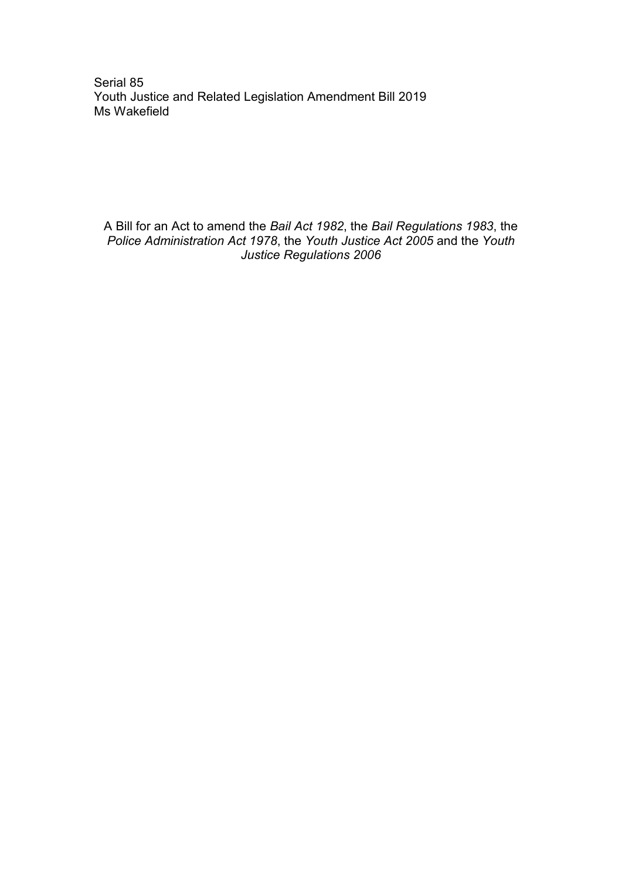Serial 85 Youth Justice and Related Legislation Amendment Bill 2019 Ms Wakefield

A Bill for an Act to amend the *Bail Act 1982*, the *Bail Regulations 1983*, the *Police Administration Act 1978*, the *Youth Justice Act 2005* and the *Youth Justice Regulations 2006*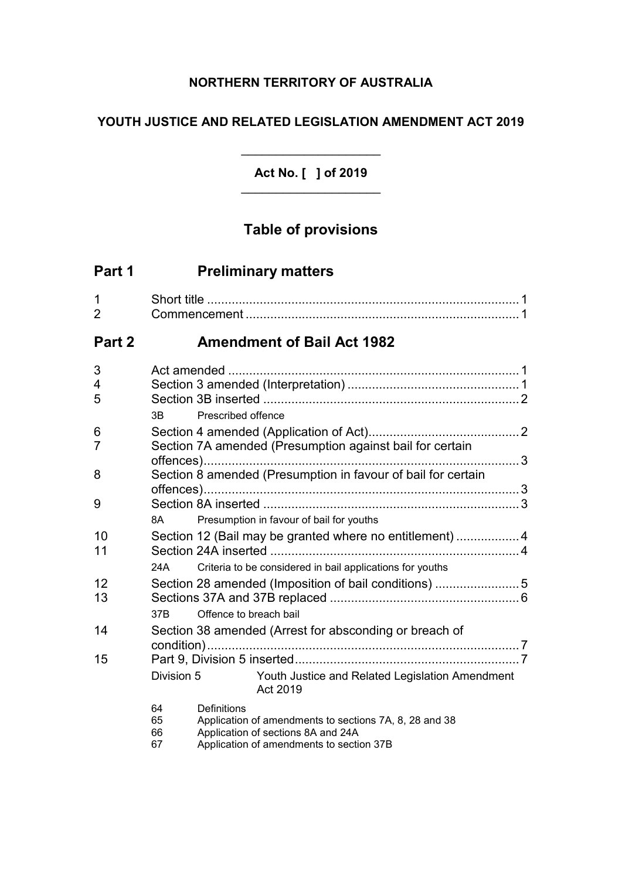# **NORTHERN TERRITORY OF AUSTRALIA**

# **YOUTH JUSTICE AND RELATED LEGISLATION AMENDMENT ACT 2019**

**Act No. [ ] of 2019** \_\_\_\_\_\_\_\_\_\_\_\_\_\_\_\_\_\_\_\_

\_\_\_\_\_\_\_\_\_\_\_\_\_\_\_\_\_\_\_\_

# **Table of provisions**

| Part 1              |                      | <b>Preliminary matters</b>                                                                                                                                     |  |
|---------------------|----------------------|----------------------------------------------------------------------------------------------------------------------------------------------------------------|--|
| 1<br>$\overline{2}$ |                      |                                                                                                                                                                |  |
| Part 2              |                      | <b>Amendment of Bail Act 1982</b>                                                                                                                              |  |
| 3<br>4<br>5         | ЗB                   | Prescribed offence                                                                                                                                             |  |
| 6<br>7              |                      | Section 7A amended (Presumption against bail for certain                                                                                                       |  |
| 8                   |                      | Section 8 amended (Presumption in favour of bail for certain                                                                                                   |  |
| 9                   | 8A                   | Presumption in favour of bail for youths                                                                                                                       |  |
| 10<br>11            |                      | Section 12 (Bail may be granted where no entitlement) 4                                                                                                        |  |
| 12<br>13            | 24A                  | Criteria to be considered in bail applications for youths<br>Section 28 amended (Imposition of bail conditions) 5                                              |  |
|                     | 37B                  | Offence to breach bail                                                                                                                                         |  |
| 14                  |                      | Section 38 amended (Arrest for absconding or breach of                                                                                                         |  |
| 15                  | Division 5           | Youth Justice and Related Legislation Amendment<br>Act 2019                                                                                                    |  |
|                     | 64<br>65<br>66<br>67 | <b>Definitions</b><br>Application of amendments to sections 7A, 8, 28 and 38<br>Application of sections 8A and 24A<br>Application of amendments to section 37B |  |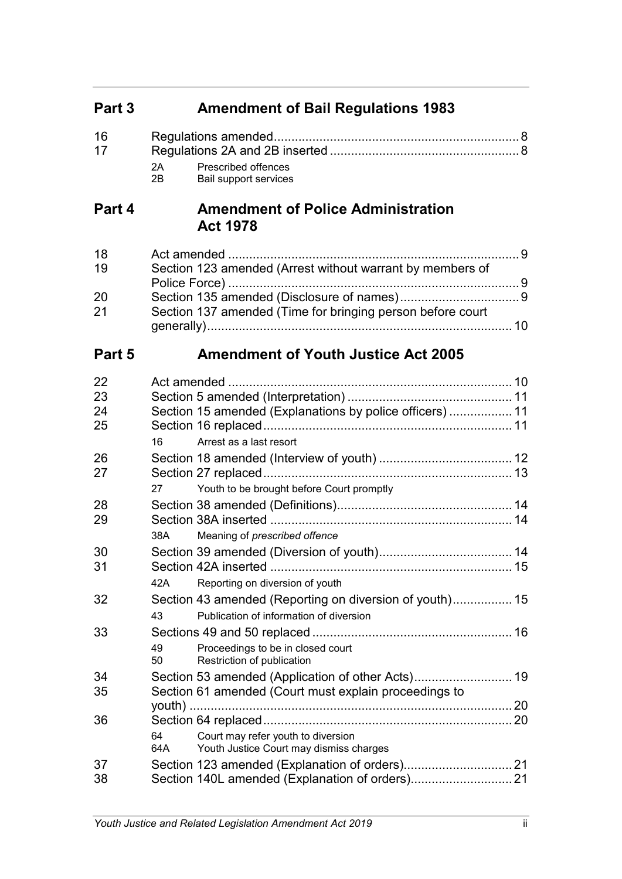| Part 3               | <b>Amendment of Bail Regulations 1983</b>                                                                |  |
|----------------------|----------------------------------------------------------------------------------------------------------|--|
| 16<br>17             | 2A<br>Prescribed offences<br>2B<br>Bail support services                                                 |  |
| Part 4               | <b>Amendment of Police Administration</b><br><b>Act 1978</b>                                             |  |
| 18<br>19             | Section 123 amended (Arrest without warrant by members of                                                |  |
| 20<br>21             | Section 137 amended (Time for bringing person before court                                               |  |
| Part 5               | <b>Amendment of Youth Justice Act 2005</b>                                                               |  |
| 22<br>23<br>24<br>25 | Section 15 amended (Explanations by police officers)  11                                                 |  |
| 26<br>27             | Arrest as a last resort<br>16<br>27                                                                      |  |
| 28<br>29             | Youth to be brought before Court promptly<br>Meaning of prescribed offence<br>38A                        |  |
| 30<br>31             | Reporting on diversion of youth<br>42A                                                                   |  |
| 32                   | Section 43 amended (Reporting on diversion of youth) 15<br>Publication of information of diversion<br>43 |  |
| 33                   | Proceedings to be in closed court<br>49<br>50<br>Restriction of publication                              |  |
| 34<br>35             | Section 61 amended (Court must explain proceedings to                                                    |  |
| 36                   | Court may refer youth to diversion<br>64<br>64A<br>Youth Justice Court may dismiss charges               |  |
| 37<br>38             | Section 140L amended (Explanation of orders)21                                                           |  |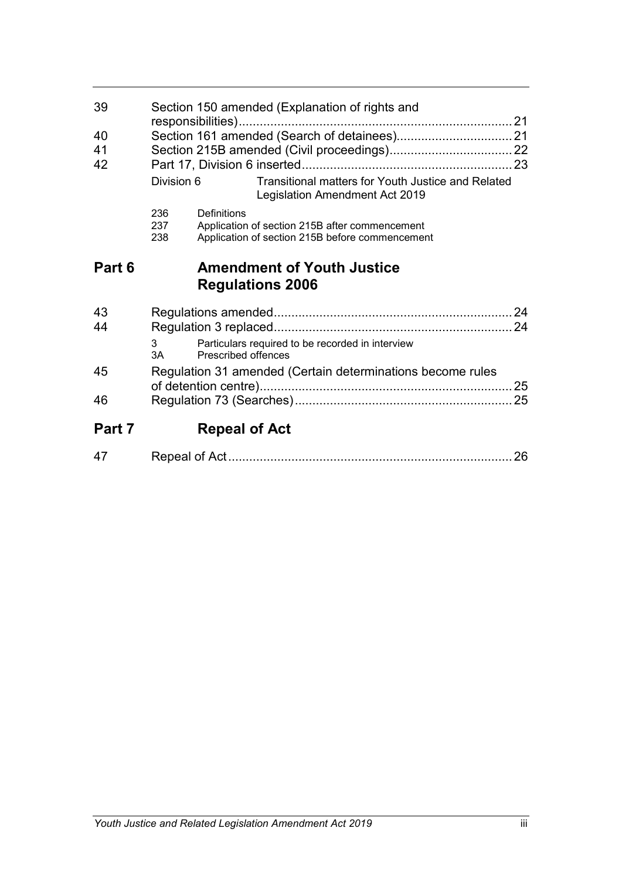| 39<br>40<br>41<br>42 | Division 6                                                 | Section 150 amended (Explanation of rights and<br>responsibilities)<br>Transitional matters for Youth Justice and Related<br>Legislation Amendment Act 2019 |    |
|----------------------|------------------------------------------------------------|-------------------------------------------------------------------------------------------------------------------------------------------------------------|----|
|                      | 236<br>237<br>238                                          | Definitions<br>Application of section 215B after commencement<br>Application of section 215B before commencement                                            |    |
| Part 6               |                                                            | <b>Amendment of Youth Justice</b><br><b>Regulations 2006</b>                                                                                                |    |
| 43                   |                                                            |                                                                                                                                                             |    |
| 44                   |                                                            |                                                                                                                                                             |    |
|                      | 3<br>3A                                                    | Particulars required to be recorded in interview<br><b>Prescribed offences</b>                                                                              |    |
| 45                   | Regulation 31 amended (Certain determinations become rules |                                                                                                                                                             | 25 |
| 46                   |                                                            |                                                                                                                                                             |    |
| Part 7               |                                                            | <b>Repeal of Act</b>                                                                                                                                        |    |

|--|--|--|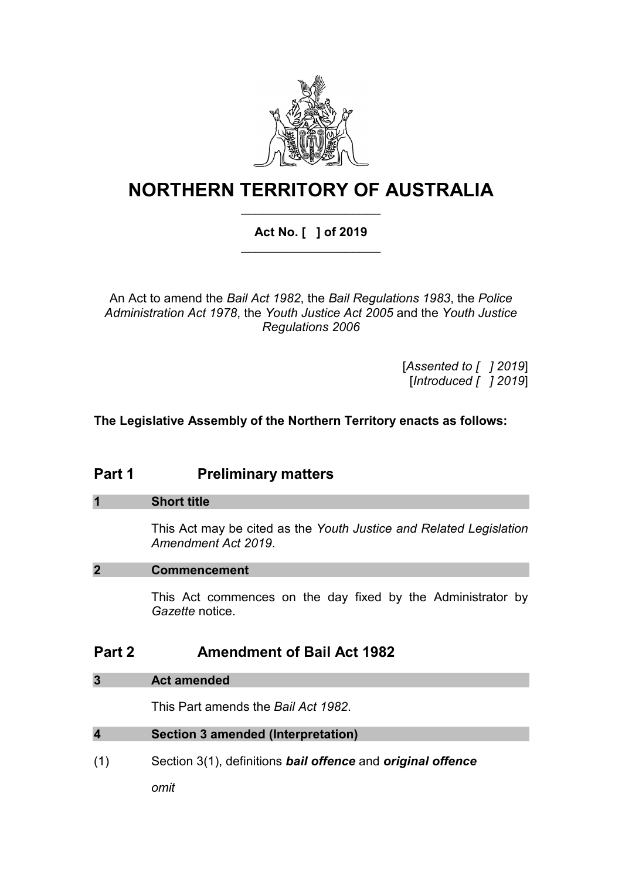

# **NORTHERN TERRITORY OF AUSTRALIA** \_\_\_\_\_\_\_\_\_\_\_\_\_\_\_\_\_\_\_\_

# **Act No. [ ] of 2019** \_\_\_\_\_\_\_\_\_\_\_\_\_\_\_\_\_\_\_\_

An Act to amend the *Bail Act 1982*, the *Bail Regulations 1983*, the *Police Administration Act 1978*, the *Youth Justice Act 2005* and the *Youth Justice Regulations 2006*

> [*Assented to [ ] 2019*] [*Introduced [ ] 2019*]

# **The Legislative Assembly of the Northern Territory enacts as follows:**

# **Part 1 Preliminary matters**

#### **1 Short title**

This Act may be cited as the *Youth Justice and Related Legislation Amendment Act 2019*.

#### **2 Commencement**

This Act commences on the day fixed by the Administrator by *Gazette* notice.

# **Part 2 Amendment of Bail Act 1982**

## **3 Act amended**

This Part amends the *Bail Act 1982*.

| Section 3 amended (Interpretation)<br>4 |  |
|-----------------------------------------|--|
|-----------------------------------------|--|

(1) Section 3(1), definitions *bail offence* and *original offence*

*omit*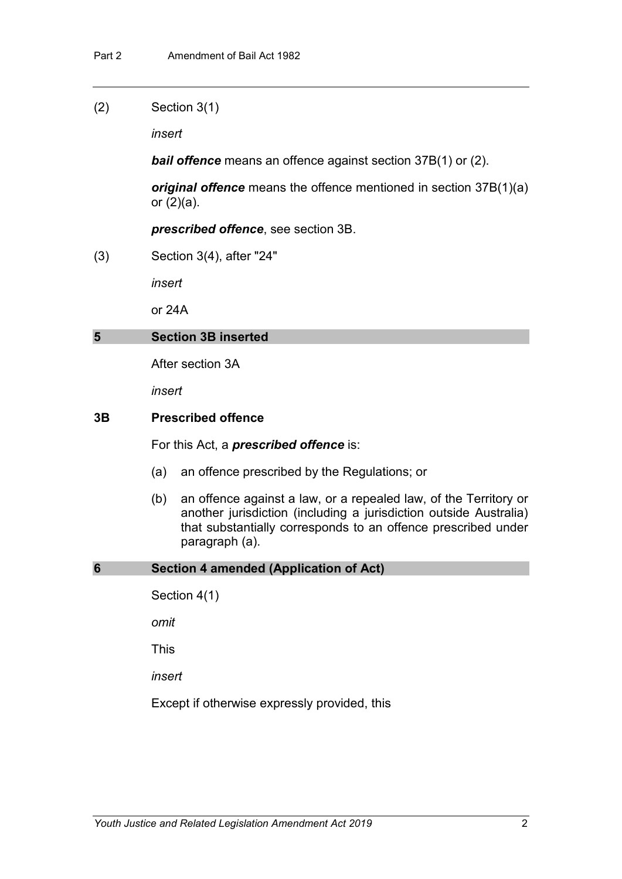(2) Section 3(1)

*insert*

*bail offence* means an offence against section 37B(1) or (2).

*original offence* means the offence mentioned in section 37B(1)(a) or (2)(a).

*prescribed offence*, see section 3B.

(3) Section 3(4), after "24"

*insert*

or 24A

#### **5 Section 3B inserted**

After section 3A

*insert*

#### **3B Prescribed offence**

For this Act, a *prescribed offence* is:

- (a) an offence prescribed by the Regulations; or
- (b) an offence against a law, or a repealed law, of the Territory or another jurisdiction (including a jurisdiction outside Australia) that substantially corresponds to an offence prescribed under paragraph (a).

#### **6 Section 4 amended (Application of Act)**

Section 4(1)

*omit*

This

*insert*

Except if otherwise expressly provided, this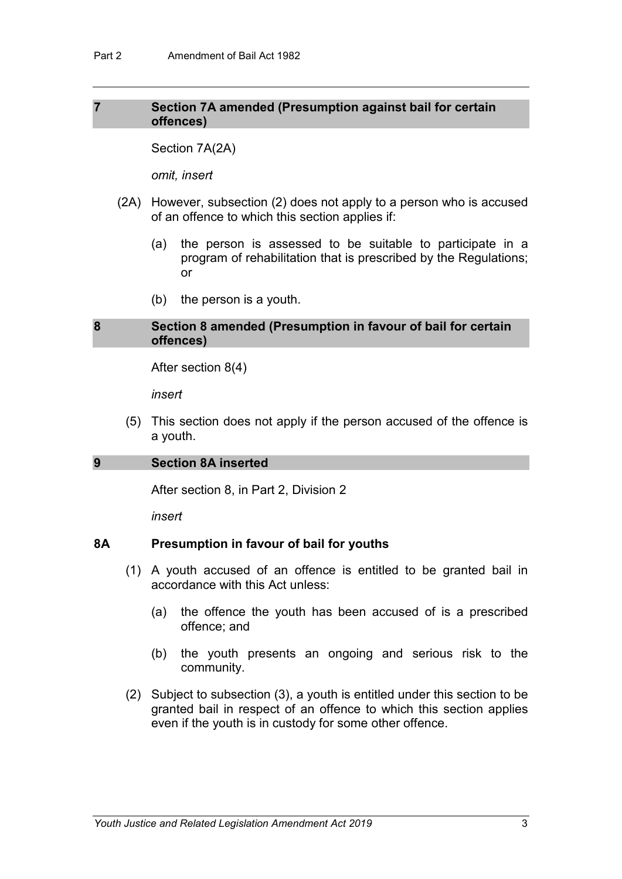#### **7 Section 7A amended (Presumption against bail for certain offences)**

Section 7A(2A)

*omit, insert*

- (2A) However, subsection (2) does not apply to a person who is accused of an offence to which this section applies if:
	- (a) the person is assessed to be suitable to participate in a program of rehabilitation that is prescribed by the Regulations; or
	- (b) the person is a youth.

#### **8 Section 8 amended (Presumption in favour of bail for certain offences)**

After section 8(4)

*insert*

(5) This section does not apply if the person accused of the offence is a youth.

#### **9 Section 8A inserted**

After section 8, in Part 2, Division 2

*insert*

#### **8A Presumption in favour of bail for youths**

- (1) A youth accused of an offence is entitled to be granted bail in accordance with this Act unless:
	- (a) the offence the youth has been accused of is a prescribed offence; and
	- (b) the youth presents an ongoing and serious risk to the community.
- (2) Subject to subsection (3), a youth is entitled under this section to be granted bail in respect of an offence to which this section applies even if the youth is in custody for some other offence.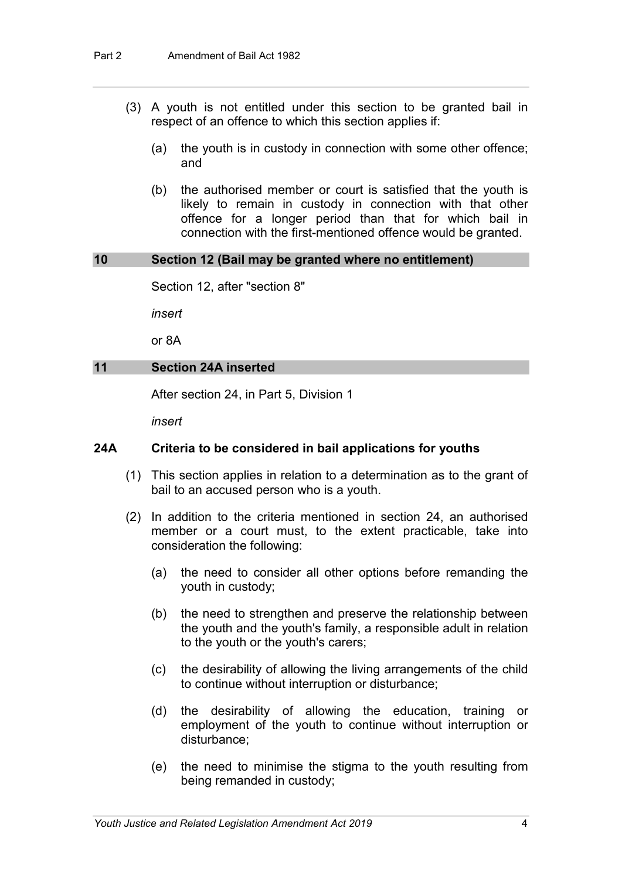- (3) A youth is not entitled under this section to be granted bail in respect of an offence to which this section applies if:
	- (a) the youth is in custody in connection with some other offence; and
	- (b) the authorised member or court is satisfied that the youth is likely to remain in custody in connection with that other offence for a longer period than that for which bail in connection with the first-mentioned offence would be granted.

#### **10 Section 12 (Bail may be granted where no entitlement)**

Section 12, after "section 8"

*insert*

or 8A

#### **11 Section 24A inserted**

After section 24, in Part 5, Division 1

*insert*

#### **24A Criteria to be considered in bail applications for youths**

- (1) This section applies in relation to a determination as to the grant of bail to an accused person who is a youth.
- (2) In addition to the criteria mentioned in section 24, an authorised member or a court must, to the extent practicable, take into consideration the following:
	- (a) the need to consider all other options before remanding the youth in custody;
	- (b) the need to strengthen and preserve the relationship between the youth and the youth's family, a responsible adult in relation to the youth or the youth's carers;
	- (c) the desirability of allowing the living arrangements of the child to continue without interruption or disturbance;
	- (d) the desirability of allowing the education, training or employment of the youth to continue without interruption or disturbance;
	- (e) the need to minimise the stigma to the youth resulting from being remanded in custody;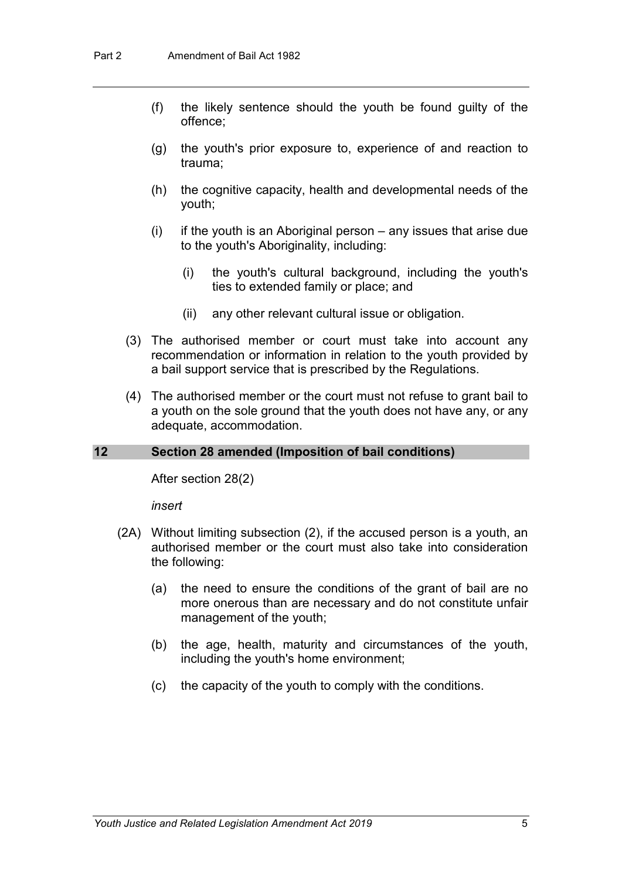- (f) the likely sentence should the youth be found guilty of the offence;
- (g) the youth's prior exposure to, experience of and reaction to trauma;
- (h) the cognitive capacity, health and developmental needs of the youth;
- (i) if the youth is an Aboriginal person any issues that arise due to the youth's Aboriginality, including:
	- (i) the youth's cultural background, including the youth's ties to extended family or place; and
	- (ii) any other relevant cultural issue or obligation.
- (3) The authorised member or court must take into account any recommendation or information in relation to the youth provided by a bail support service that is prescribed by the Regulations.
- (4) The authorised member or the court must not refuse to grant bail to a youth on the sole ground that the youth does not have any, or any adequate, accommodation.

#### **12 Section 28 amended (Imposition of bail conditions)**

After section 28(2)

*insert*

- (2A) Without limiting subsection (2), if the accused person is a youth, an authorised member or the court must also take into consideration the following:
	- (a) the need to ensure the conditions of the grant of bail are no more onerous than are necessary and do not constitute unfair management of the youth;
	- (b) the age, health, maturity and circumstances of the youth, including the youth's home environment;
	- (c) the capacity of the youth to comply with the conditions.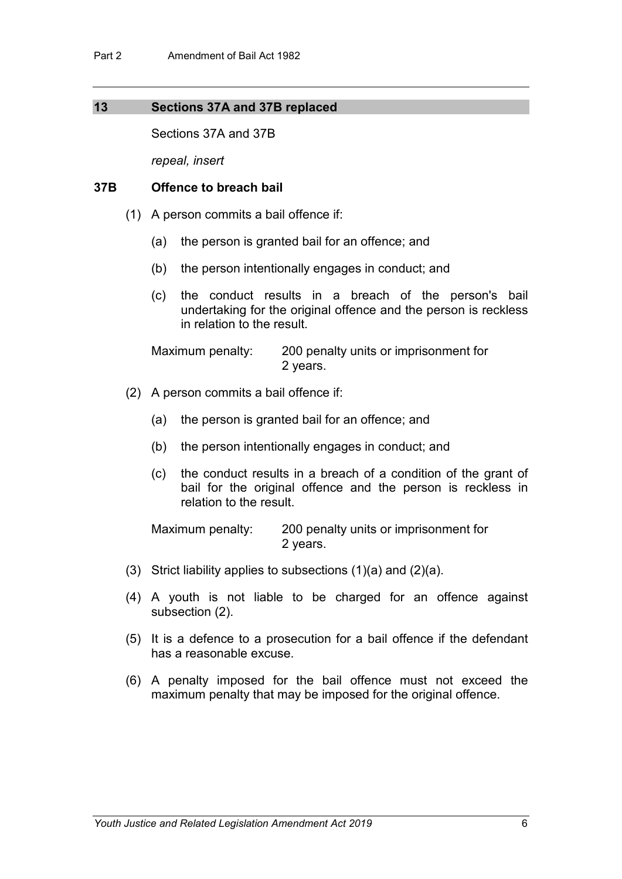#### **13 Sections 37A and 37B replaced**

Sections 37A and 37B

*repeal, insert*

#### **37B Offence to breach bail**

- (1) A person commits a bail offence if:
	- (a) the person is granted bail for an offence; and
	- (b) the person intentionally engages in conduct; and
	- (c) the conduct results in a breach of the person's bail undertaking for the original offence and the person is reckless in relation to the result.

Maximum penalty: 200 penalty units or imprisonment for 2 years.

- (2) A person commits a bail offence if:
	- (a) the person is granted bail for an offence; and
	- (b) the person intentionally engages in conduct; and
	- (c) the conduct results in a breach of a condition of the grant of bail for the original offence and the person is reckless in relation to the result.

Maximum penalty: 200 penalty units or imprisonment for 2 years.

- (3) Strict liability applies to subsections (1)(a) and (2)(a).
- (4) A youth is not liable to be charged for an offence against subsection (2).
- (5) It is a defence to a prosecution for a bail offence if the defendant has a reasonable excuse.
- (6) A penalty imposed for the bail offence must not exceed the maximum penalty that may be imposed for the original offence.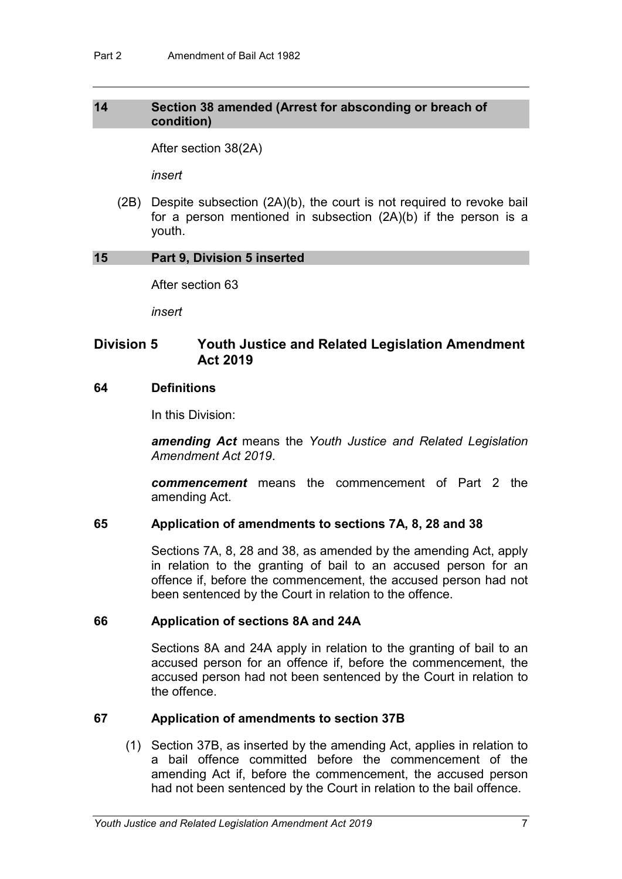#### **14 Section 38 amended (Arrest for absconding or breach of condition)**

After section 38(2A)

*insert*

(2B) Despite subsection (2A)(b), the court is not required to revoke bail for a person mentioned in subsection (2A)(b) if the person is a youth.

#### **15 Part 9, Division 5 inserted**

After section 63

*insert*

## **Division 5 Youth Justice and Related Legislation Amendment Act 2019**

#### **64 Definitions**

In this Division:

*amending Act* means the *Youth Justice and Related Legislation Amendment Act 2019*.

*commencement* means the commencement of Part 2 the amending Act.

#### **65 Application of amendments to sections 7A, 8, 28 and 38**

Sections 7A, 8, 28 and 38, as amended by the amending Act, apply in relation to the granting of bail to an accused person for an offence if, before the commencement, the accused person had not been sentenced by the Court in relation to the offence.

#### **66 Application of sections 8A and 24A**

Sections 8A and 24A apply in relation to the granting of bail to an accused person for an offence if, before the commencement, the accused person had not been sentenced by the Court in relation to the offence.

#### **67 Application of amendments to section 37B**

(1) Section 37B, as inserted by the amending Act, applies in relation to a bail offence committed before the commencement of the amending Act if, before the commencement, the accused person had not been sentenced by the Court in relation to the bail offence.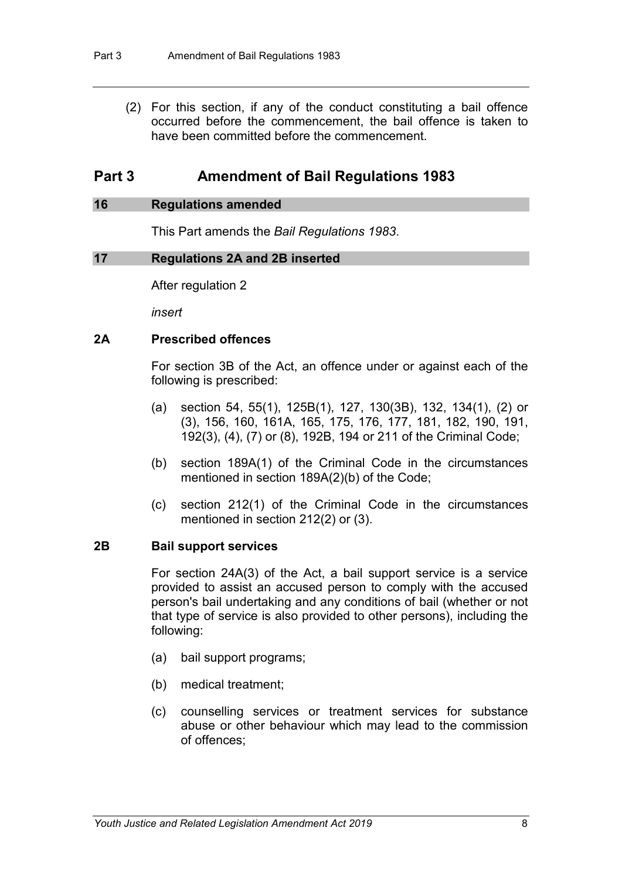(2) For this section, if any of the conduct constituting a bail offence occurred before the commencement, the bail offence is taken to have been committed before the commencement.

# **Part 3 Amendment of Bail Regulations 1983**

#### **16 Regulations amended**

This Part amends the *Bail Regulations 1983*.

#### **17 Regulations 2A and 2B inserted**

After regulation 2

*insert*

#### **2A Prescribed offences**

For section 3B of the Act, an offence under or against each of the following is prescribed:

- (a) section 54, 55(1), 125B(1), 127, 130(3B), 132, 134(1), (2) or (3), 156, 160, 161A, 165, 175, 176, 177, 181, 182, 190, 191, 192(3), (4), (7) or (8), 192B, 194 or 211 of the Criminal Code;
- (b) section 189A(1) of the Criminal Code in the circumstances mentioned in section 189A(2)(b) of the Code;
- (c) section 212(1) of the Criminal Code in the circumstances mentioned in section 212(2) or (3).

#### **2B Bail support services**

For section 24A(3) of the Act, a bail support service is a service provided to assist an accused person to comply with the accused person's bail undertaking and any conditions of bail (whether or not that type of service is also provided to other persons), including the following:

- (a) bail support programs;
- (b) medical treatment;
- (c) counselling services or treatment services for substance abuse or other behaviour which may lead to the commission of offences;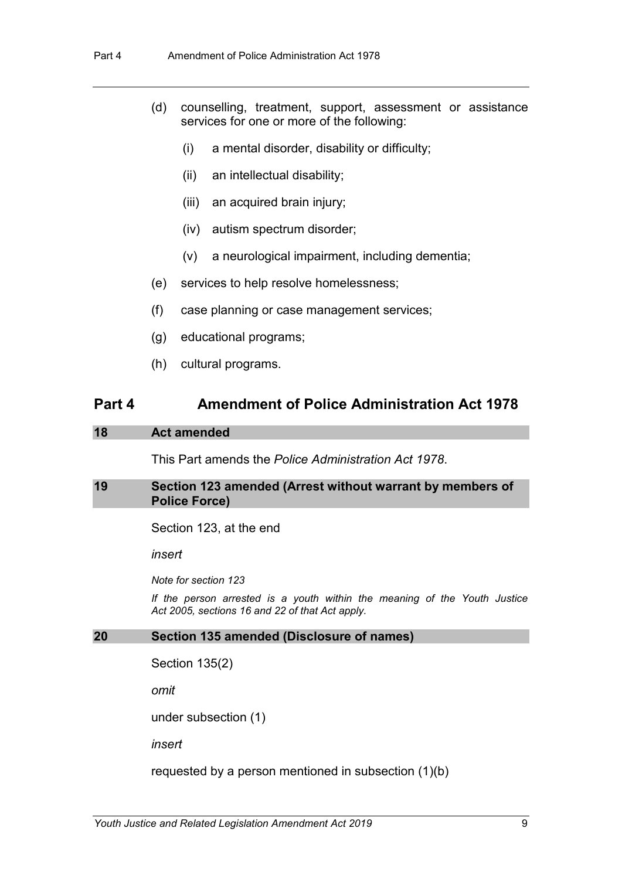- (d) counselling, treatment, support, assessment or assistance services for one or more of the following:
	- (i) a mental disorder, disability or difficulty;
	- (ii) an intellectual disability;
	- (iii) an acquired brain injury;
	- (iv) autism spectrum disorder;
	- (v) a neurological impairment, including dementia;
- (e) services to help resolve homelessness;
- (f) case planning or case management services;
- (g) educational programs;
- (h) cultural programs.

## **Part 4 Amendment of Police Administration Act 1978**

#### **18 Act amended**

This Part amends the *Police Administration Act 1978*.

#### **19 Section 123 amended (Arrest without warrant by members of Police Force)**

Section 123, at the end

*insert*

*Note for section 123*

*If the person arrested is a youth within the meaning of the Youth Justice Act 2005, sections 16 and 22 of that Act apply.*

#### **20 Section 135 amended (Disclosure of names)**

```
Section 135(2)
```
*omit*

under subsection (1)

*insert*

requested by a person mentioned in subsection (1)(b)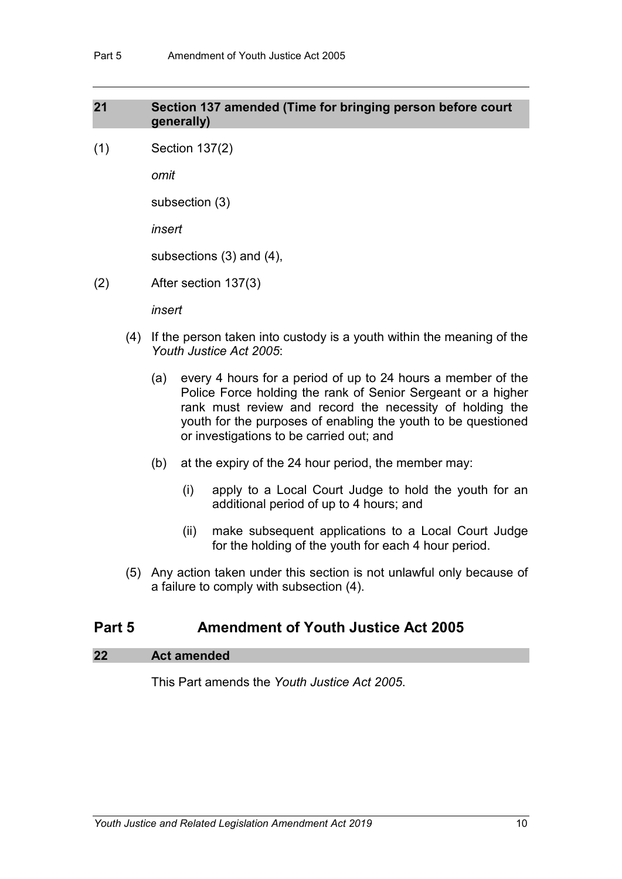### **21 Section 137 amended (Time for bringing person before court generally)**

(1) Section 137(2)

*omit*

subsection (3)

*insert*

subsections (3) and (4),

(2) After section 137(3)

*insert*

- (4) If the person taken into custody is a youth within the meaning of the *Youth Justice Act 2005*:
	- (a) every 4 hours for a period of up to 24 hours a member of the Police Force holding the rank of Senior Sergeant or a higher rank must review and record the necessity of holding the youth for the purposes of enabling the youth to be questioned or investigations to be carried out; and
	- (b) at the expiry of the 24 hour period, the member may:
		- (i) apply to a Local Court Judge to hold the youth for an additional period of up to 4 hours; and
		- (ii) make subsequent applications to a Local Court Judge for the holding of the youth for each 4 hour period.
- (5) Any action taken under this section is not unlawful only because of a failure to comply with subsection (4).

# **Part 5 Amendment of Youth Justice Act 2005**

### **22 Act amended**

This Part amends the *Youth Justice Act 2005*.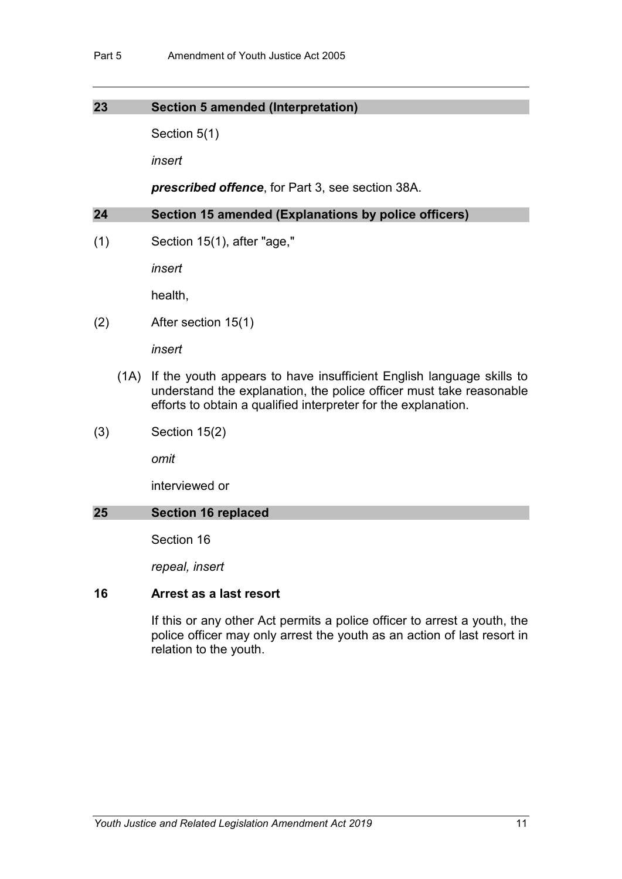#### **23 Section 5 amended (Interpretation)**

Section 5(1)

*insert*

*prescribed offence*, for Part 3, see section 38A.

**24 Section 15 amended (Explanations by police officers)**

(1) Section 15(1), after "age,"

*insert*

health,

(2) After section 15(1)

*insert*

- (1A) If the youth appears to have insufficient English language skills to understand the explanation, the police officer must take reasonable efforts to obtain a qualified interpreter for the explanation.
- (3) Section 15(2)

*omit*

interviewed or

### **25 Section 16 replaced**

Section 16

*repeal, insert*

#### **16 Arrest as a last resort**

If this or any other Act permits a police officer to arrest a youth, the police officer may only arrest the youth as an action of last resort in relation to the youth.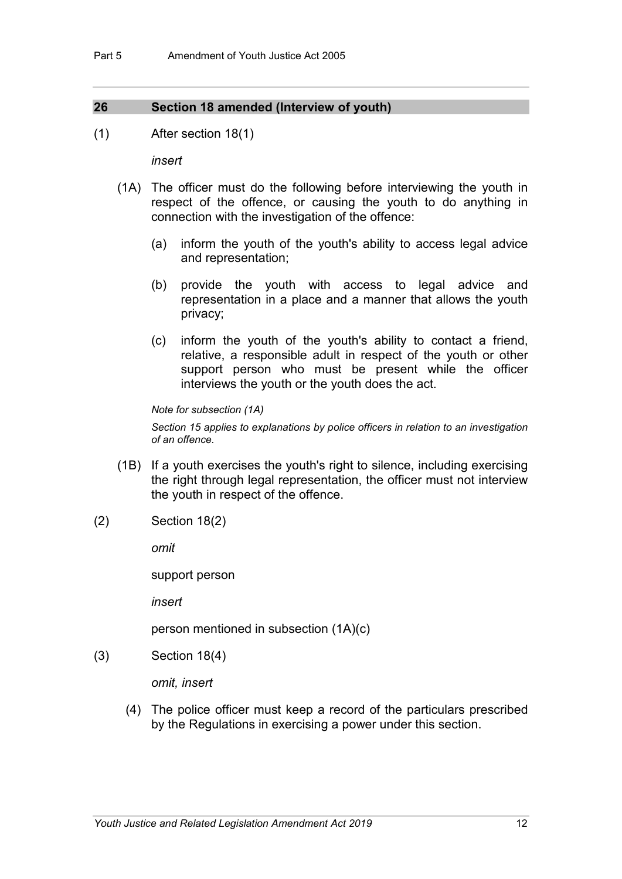#### **26 Section 18 amended (Interview of youth)**

(1) After section 18(1)

*insert*

- (1A) The officer must do the following before interviewing the youth in respect of the offence, or causing the youth to do anything in connection with the investigation of the offence:
	- (a) inform the youth of the youth's ability to access legal advice and representation;
	- (b) provide the youth with access to legal advice and representation in a place and a manner that allows the youth privacy;
	- (c) inform the youth of the youth's ability to contact a friend, relative, a responsible adult in respect of the youth or other support person who must be present while the officer interviews the youth or the youth does the act.

*Note for subsection (1A)*

*Section 15 applies to explanations by police officers in relation to an investigation of an offence.*

- (1B) If a youth exercises the youth's right to silence, including exercising the right through legal representation, the officer must not interview the youth in respect of the offence.
- (2) Section 18(2)

*omit*

support person

*insert*

person mentioned in subsection (1A)(c)

(3) Section 18(4)

*omit, insert*

(4) The police officer must keep a record of the particulars prescribed by the Regulations in exercising a power under this section.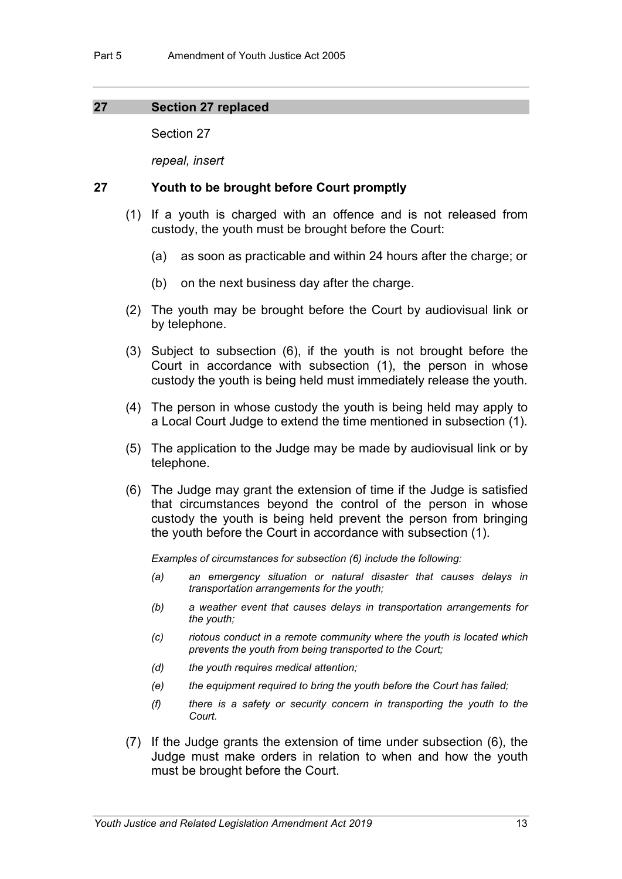#### **27 Section 27 replaced**

Section 27

*repeal, insert*

#### **27 Youth to be brought before Court promptly**

- (1) If a youth is charged with an offence and is not released from custody, the youth must be brought before the Court:
	- (a) as soon as practicable and within 24 hours after the charge; or
	- (b) on the next business day after the charge.
- (2) The youth may be brought before the Court by audiovisual link or by telephone.
- (3) Subject to subsection (6), if the youth is not brought before the Court in accordance with subsection (1), the person in whose custody the youth is being held must immediately release the youth.
- (4) The person in whose custody the youth is being held may apply to a Local Court Judge to extend the time mentioned in subsection (1).
- (5) The application to the Judge may be made by audiovisual link or by telephone.
- (6) The Judge may grant the extension of time if the Judge is satisfied that circumstances beyond the control of the person in whose custody the youth is being held prevent the person from bringing the youth before the Court in accordance with subsection (1).

*Examples of circumstances for subsection (6) include the following:*

- *(a) an emergency situation or natural disaster that causes delays in transportation arrangements for the youth;*
- *(b) a weather event that causes delays in transportation arrangements for the youth;*
- *(c) riotous conduct in a remote community where the youth is located which prevents the youth from being transported to the Court;*
- *(d) the youth requires medical attention;*
- *(e) the equipment required to bring the youth before the Court has failed;*
- *(f) there is a safety or security concern in transporting the youth to the Court.*
- (7) If the Judge grants the extension of time under subsection (6), the Judge must make orders in relation to when and how the youth must be brought before the Court.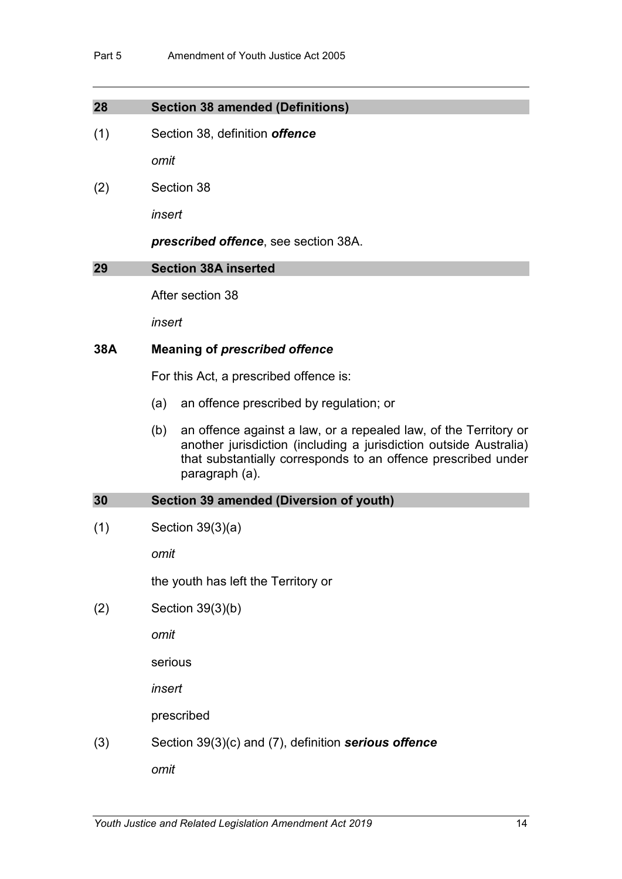### **28 Section 38 amended (Definitions)**

(1) Section 38, definition *offence*

*omit* 

(2) Section 38

*insert*

*prescribed offence*, see section 38A.

#### **29 Section 38A inserted**

After section 38

*insert*

## **38A Meaning of** *prescribed offence*

For this Act, a prescribed offence is:

- (a) an offence prescribed by regulation; or
- (b) an offence against a law, or a repealed law, of the Territory or another jurisdiction (including a jurisdiction outside Australia) that substantially corresponds to an offence prescribed under paragraph (a).

#### **30 Section 39 amended (Diversion of youth)**

 $(1)$  Section 39 $(3)(a)$ 

*omit*

the youth has left the Territory or

(2) Section 39(3)(b)

*omit*

serious

*insert*

prescribed

(3) Section 39(3)(c) and (7), definition *serious offence*

*omit*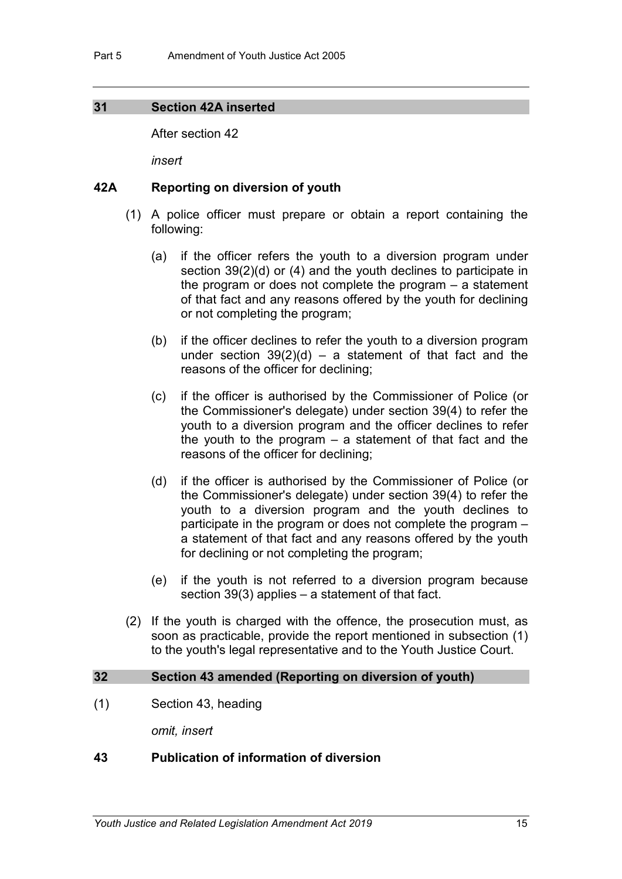#### **31 Section 42A inserted**

After section 42

*insert*

#### **42A Reporting on diversion of youth**

- (1) A police officer must prepare or obtain a report containing the following:
	- (a) if the officer refers the youth to a diversion program under section 39(2)(d) or (4) and the youth declines to participate in the program or does not complete the program – a statement of that fact and any reasons offered by the youth for declining or not completing the program;
	- (b) if the officer declines to refer the youth to a diversion program under section  $39(2)(d)$  – a statement of that fact and the reasons of the officer for declining;
	- (c) if the officer is authorised by the Commissioner of Police (or the Commissioner's delegate) under section 39(4) to refer the youth to a diversion program and the officer declines to refer the youth to the program  $-$  a statement of that fact and the reasons of the officer for declining;
	- (d) if the officer is authorised by the Commissioner of Police (or the Commissioner's delegate) under section 39(4) to refer the youth to a diversion program and the youth declines to participate in the program or does not complete the program – a statement of that fact and any reasons offered by the youth for declining or not completing the program;
	- (e) if the youth is not referred to a diversion program because section 39(3) applies – a statement of that fact.
- (2) If the youth is charged with the offence, the prosecution must, as soon as practicable, provide the report mentioned in subsection (1) to the youth's legal representative and to the Youth Justice Court.

#### **32 Section 43 amended (Reporting on diversion of youth)**

(1) Section 43, heading

*omit, insert*

#### **43 Publication of information of diversion**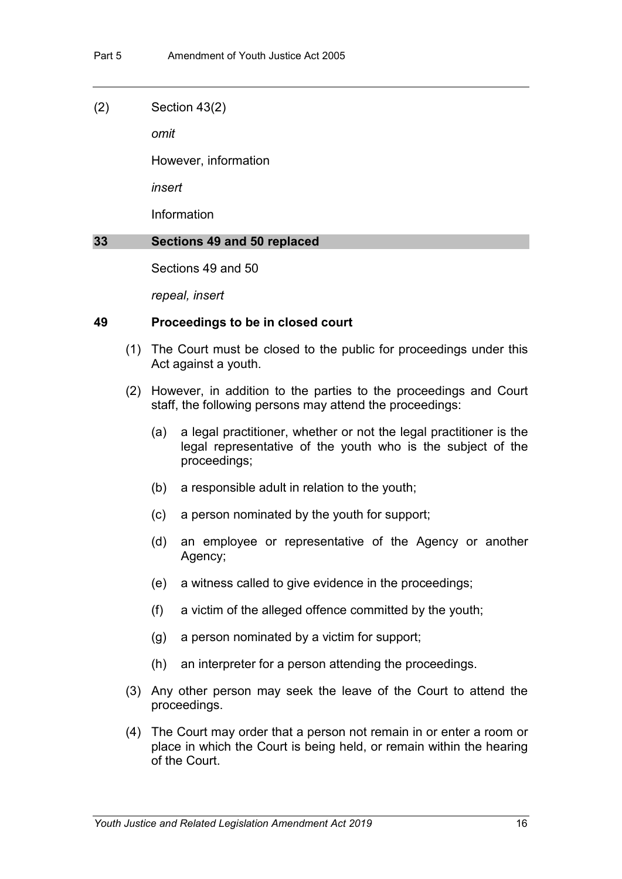#### (2) Section 43(2)

*omit*

However, information

*insert*

Information

#### **33 Sections 49 and 50 replaced**

Sections 49 and 50

*repeal, insert*

#### **49 Proceedings to be in closed court**

- (1) The Court must be closed to the public for proceedings under this Act against a youth.
- (2) However, in addition to the parties to the proceedings and Court staff, the following persons may attend the proceedings:
	- (a) a legal practitioner, whether or not the legal practitioner is the legal representative of the youth who is the subject of the proceedings;
	- (b) a responsible adult in relation to the youth;
	- (c) a person nominated by the youth for support;
	- (d) an employee or representative of the Agency or another Agency;
	- (e) a witness called to give evidence in the proceedings;
	- (f) a victim of the alleged offence committed by the youth;
	- (g) a person nominated by a victim for support;
	- (h) an interpreter for a person attending the proceedings.
- (3) Any other person may seek the leave of the Court to attend the proceedings.
- (4) The Court may order that a person not remain in or enter a room or place in which the Court is being held, or remain within the hearing of the Court.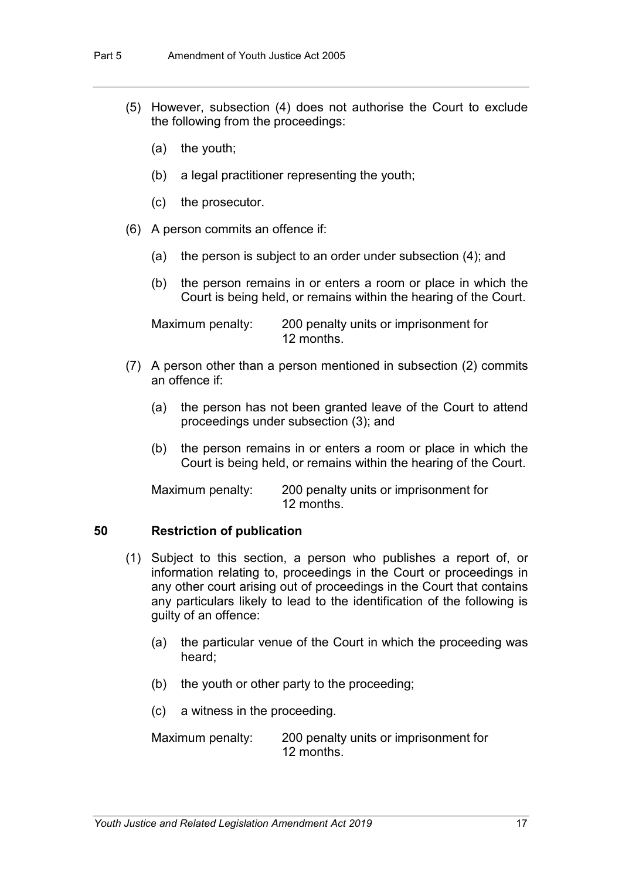- (5) However, subsection (4) does not authorise the Court to exclude the following from the proceedings:
	- (a) the youth;
	- (b) a legal practitioner representing the youth;
	- (c) the prosecutor.
- (6) A person commits an offence if:
	- (a) the person is subject to an order under subsection (4); and
	- (b) the person remains in or enters a room or place in which the Court is being held, or remains within the hearing of the Court.

Maximum penalty: 200 penalty units or imprisonment for 12 months.

- (7) A person other than a person mentioned in subsection (2) commits an offence if:
	- (a) the person has not been granted leave of the Court to attend proceedings under subsection (3); and
	- (b) the person remains in or enters a room or place in which the Court is being held, or remains within the hearing of the Court.

Maximum penalty: 200 penalty units or imprisonment for 12 months.

#### **50 Restriction of publication**

- (1) Subject to this section, a person who publishes a report of, or information relating to, proceedings in the Court or proceedings in any other court arising out of proceedings in the Court that contains any particulars likely to lead to the identification of the following is guilty of an offence:
	- (a) the particular venue of the Court in which the proceeding was heard;
	- (b) the youth or other party to the proceeding;
	- (c) a witness in the proceeding.

Maximum penalty: 200 penalty units or imprisonment for 12 months.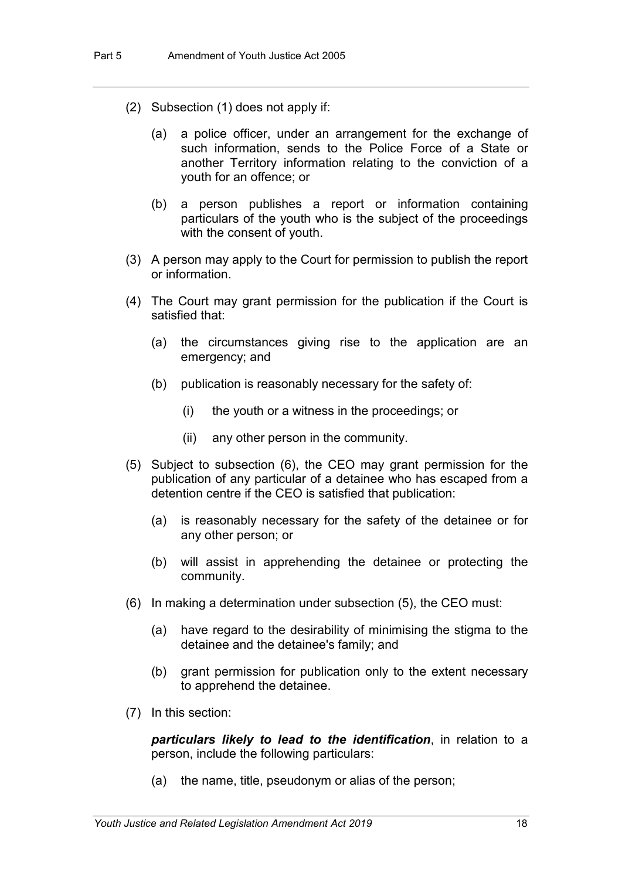- (2) Subsection (1) does not apply if:
	- (a) a police officer, under an arrangement for the exchange of such information, sends to the Police Force of a State or another Territory information relating to the conviction of a youth for an offence; or
	- (b) a person publishes a report or information containing particulars of the youth who is the subject of the proceedings with the consent of youth.
- (3) A person may apply to the Court for permission to publish the report or information.
- (4) The Court may grant permission for the publication if the Court is satisfied that:
	- (a) the circumstances giving rise to the application are an emergency; and
	- (b) publication is reasonably necessary for the safety of:
		- (i) the youth or a witness in the proceedings; or
		- (ii) any other person in the community.
- (5) Subject to subsection (6), the CEO may grant permission for the publication of any particular of a detainee who has escaped from a detention centre if the CEO is satisfied that publication:
	- (a) is reasonably necessary for the safety of the detainee or for any other person; or
	- (b) will assist in apprehending the detainee or protecting the community.
- (6) In making a determination under subsection (5), the CEO must:
	- (a) have regard to the desirability of minimising the stigma to the detainee and the detainee's family; and
	- (b) grant permission for publication only to the extent necessary to apprehend the detainee.
- (7) In this section:

*particulars likely to lead to the identification*, in relation to a person, include the following particulars:

(a) the name, title, pseudonym or alias of the person;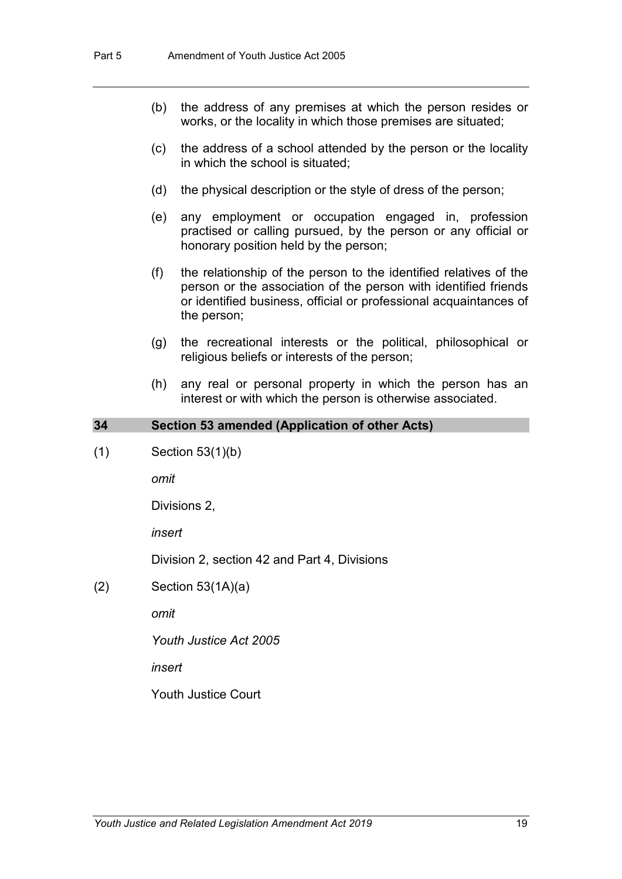- (b) the address of any premises at which the person resides or works, or the locality in which those premises are situated;
- (c) the address of a school attended by the person or the locality in which the school is situated;
- (d) the physical description or the style of dress of the person;
- (e) any employment or occupation engaged in, profession practised or calling pursued, by the person or any official or honorary position held by the person;
- (f) the relationship of the person to the identified relatives of the person or the association of the person with identified friends or identified business, official or professional acquaintances of the person;
- (g) the recreational interests or the political, philosophical or religious beliefs or interests of the person;
- (h) any real or personal property in which the person has an interest or with which the person is otherwise associated.

#### **34 Section 53 amended (Application of other Acts)**

(1) Section 53(1)(b)

*omit*

Divisions 2,

*insert*

Division 2, section 42 and Part 4, Divisions

 $(2)$  Section 53 $(1A)(a)$ 

*omit*

*Youth Justice Act 2005*

*insert*

Youth Justice Court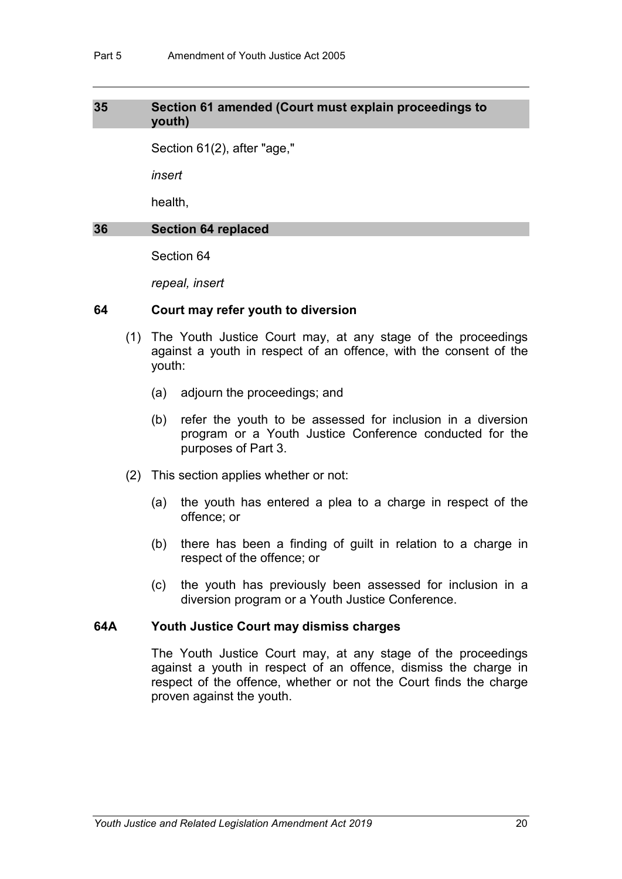#### **35 Section 61 amended (Court must explain proceedings to youth)**

Section 61(2), after "age,"

*insert*

health,

#### **36 Section 64 replaced**

Section 64

*repeal, insert*

#### **64 Court may refer youth to diversion**

- (1) The Youth Justice Court may, at any stage of the proceedings against a youth in respect of an offence, with the consent of the youth:
	- (a) adjourn the proceedings; and
	- (b) refer the youth to be assessed for inclusion in a diversion program or a Youth Justice Conference conducted for the purposes of Part 3.
- (2) This section applies whether or not:
	- (a) the youth has entered a plea to a charge in respect of the offence; or
	- (b) there has been a finding of guilt in relation to a charge in respect of the offence; or
	- (c) the youth has previously been assessed for inclusion in a diversion program or a Youth Justice Conference.

#### **64A Youth Justice Court may dismiss charges**

The Youth Justice Court may, at any stage of the proceedings against a youth in respect of an offence, dismiss the charge in respect of the offence, whether or not the Court finds the charge proven against the youth.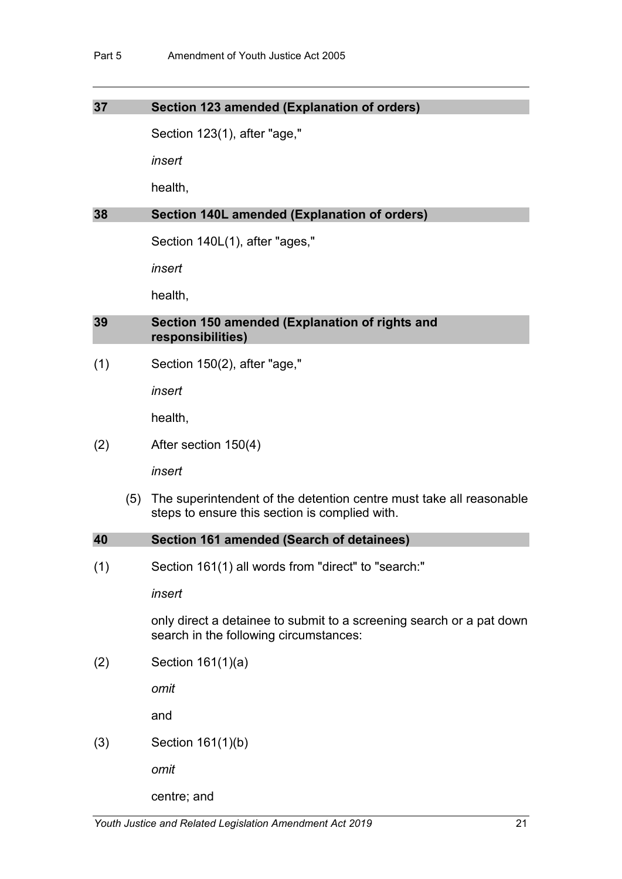#### **37 Section 123 amended (Explanation of orders)**

Section 123(1), after "age,"

*insert*

health,

#### **38 Section 140L amended (Explanation of orders)**

Section 140L(1), after "ages,"

*insert*

health,

#### **39 Section 150 amended (Explanation of rights and responsibilities)**

(1) Section 150(2), after "age,"

*insert*

health,

(2) After section 150(4)

*insert*

(5) The superintendent of the detention centre must take all reasonable steps to ensure this section is complied with.

| 40 | Section 161 amended (Search of detainees) |
|----|-------------------------------------------|
|----|-------------------------------------------|

(1) Section 161(1) all words from "direct" to "search:"

*insert*

only direct a detainee to submit to a screening search or a pat down search in the following circumstances:

(2) Section 161(1)(a)

*omit*

and

(3) Section 161(1)(b)

*omit*

centre; and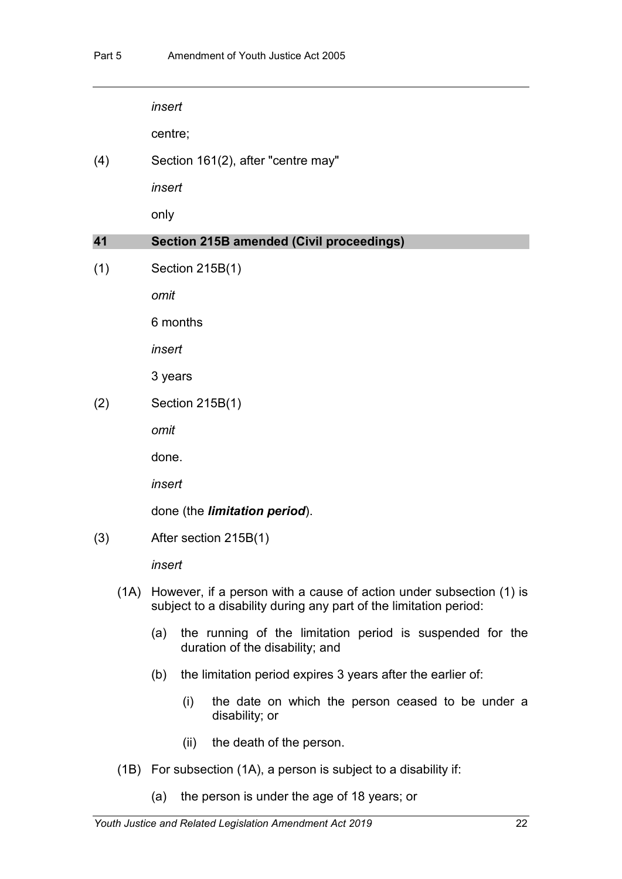*insert*

centre;

(4) Section 161(2), after "centre may"

*insert*

only

#### **41 Section 215B amended (Civil proceedings)**

(1) Section 215B(1)

*omit*

6 months

*insert*

3 years

(2) Section 215B(1)

*omit*

done.

*insert*

done (the *limitation period*).

(3) After section 215B(1)

*insert*

- (1A) However, if a person with a cause of action under subsection (1) is subject to a disability during any part of the limitation period:
	- (a) the running of the limitation period is suspended for the duration of the disability; and
	- (b) the limitation period expires 3 years after the earlier of:
		- (i) the date on which the person ceased to be under a disability; or
		- (ii) the death of the person.
- (1B) For subsection (1A), a person is subject to a disability if:
	- (a) the person is under the age of 18 years; or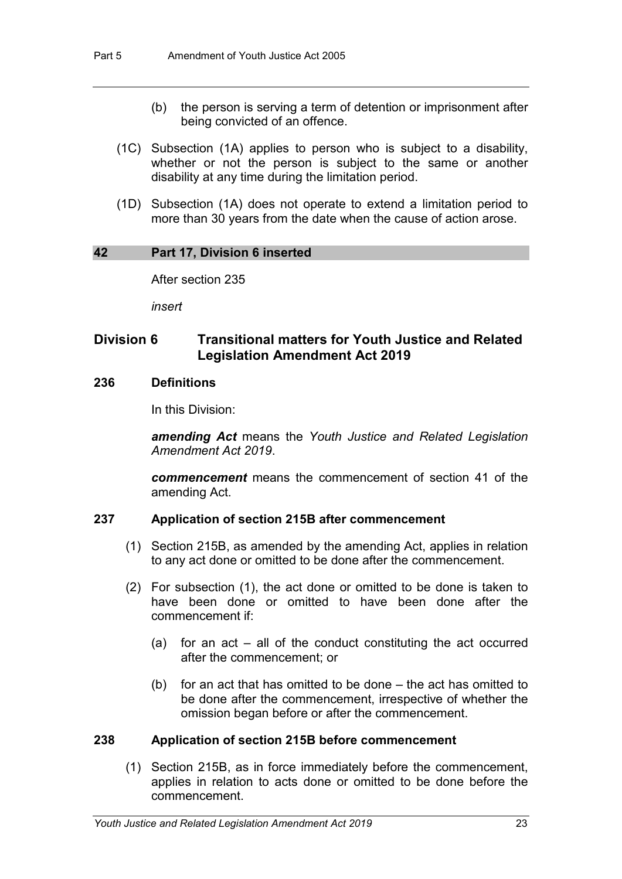- (b) the person is serving a term of detention or imprisonment after being convicted of an offence.
- (1C) Subsection (1A) applies to person who is subject to a disability, whether or not the person is subject to the same or another disability at any time during the limitation period.
- (1D) Subsection (1A) does not operate to extend a limitation period to more than 30 years from the date when the cause of action arose.

#### **42 Part 17, Division 6 inserted**

After section 235

*insert*

# **Division 6 Transitional matters for Youth Justice and Related Legislation Amendment Act 2019**

#### **236 Definitions**

In this Division:

*amending Act* means the *Youth Justice and Related Legislation Amendment Act 2019*.

*commencement* means the commencement of section 41 of the amending Act.

#### **237 Application of section 215B after commencement**

- (1) Section 215B, as amended by the amending Act, applies in relation to any act done or omitted to be done after the commencement.
- (2) For subsection (1), the act done or omitted to be done is taken to have been done or omitted to have been done after the commencement if:
	- (a) for an act all of the conduct constituting the act occurred after the commencement; or
	- (b) for an act that has omitted to be done the act has omitted to be done after the commencement, irrespective of whether the omission began before or after the commencement.

#### **238 Application of section 215B before commencement**

(1) Section 215B, as in force immediately before the commencement, applies in relation to acts done or omitted to be done before the commencement.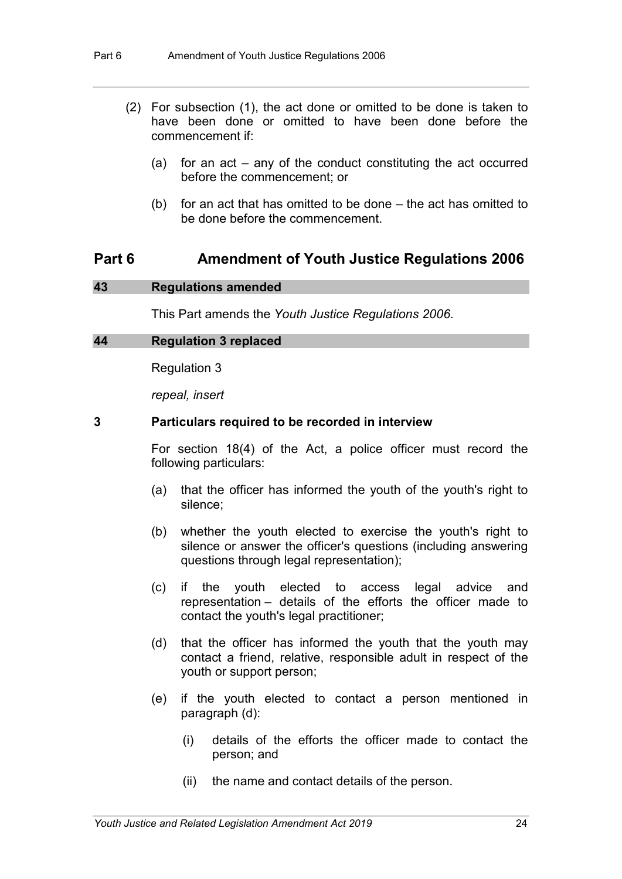- (2) For subsection (1), the act done or omitted to be done is taken to have been done or omitted to have been done before the commencement if:
	- (a) for an act any of the conduct constituting the act occurred before the commencement; or
	- (b) for an act that has omitted to be done the act has omitted to be done before the commencement.

### **Part 6 Amendment of Youth Justice Regulations 2006**

#### **43 Regulations amended**

This Part amends the *Youth Justice Regulations 2006*.

#### **44 Regulation 3 replaced**

Regulation 3

*repeal, insert*

#### **3 Particulars required to be recorded in interview**

For section 18(4) of the Act, a police officer must record the following particulars:

- (a) that the officer has informed the youth of the youth's right to silence;
- (b) whether the youth elected to exercise the youth's right to silence or answer the officer's questions (including answering questions through legal representation);
- (c) if the youth elected to access legal advice and representation – details of the efforts the officer made to contact the youth's legal practitioner;
- (d) that the officer has informed the youth that the youth may contact a friend, relative, responsible adult in respect of the youth or support person;
- (e) if the youth elected to contact a person mentioned in paragraph (d):
	- (i) details of the efforts the officer made to contact the person; and
	- (ii) the name and contact details of the person.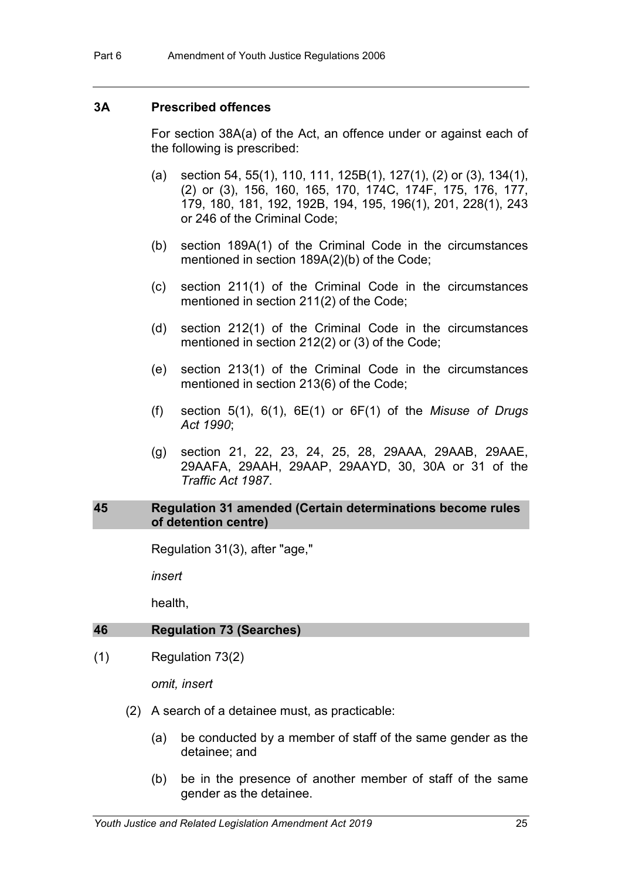#### **3A Prescribed offences**

For section 38A(a) of the Act, an offence under or against each of the following is prescribed:

- (a) section 54, 55(1), 110, 111, 125B(1), 127(1), (2) or (3), 134(1), (2) or (3), 156, 160, 165, 170, 174C, 174F, 175, 176, 177, 179, 180, 181, 192, 192B, 194, 195, 196(1), 201, 228(1), 243 or 246 of the Criminal Code;
- (b) section 189A(1) of the Criminal Code in the circumstances mentioned in section 189A(2)(b) of the Code;
- (c) section 211(1) of the Criminal Code in the circumstances mentioned in section 211(2) of the Code;
- (d) section 212(1) of the Criminal Code in the circumstances mentioned in section 212(2) or (3) of the Code;
- (e) section 213(1) of the Criminal Code in the circumstances mentioned in section 213(6) of the Code;
- (f) section 5(1), 6(1), 6E(1) or 6F(1) of the *Misuse of Drugs Act 1990*;
- (g) section 21, 22, 23, 24, 25, 28, 29AAA, 29AAB, 29AAE, 29AAFA, 29AAH, 29AAP, 29AAYD, 30, 30A or 31 of the *Traffic Act 1987*.

#### **45 Regulation 31 amended (Certain determinations become rules of detention centre)**

Regulation 31(3), after "age,"

*insert*

health,

#### **46 Regulation 73 (Searches)**

(1) Regulation 73(2)

*omit, insert*

- (2) A search of a detainee must, as practicable:
	- (a) be conducted by a member of staff of the same gender as the detainee; and
	- (b) be in the presence of another member of staff of the same gender as the detainee.